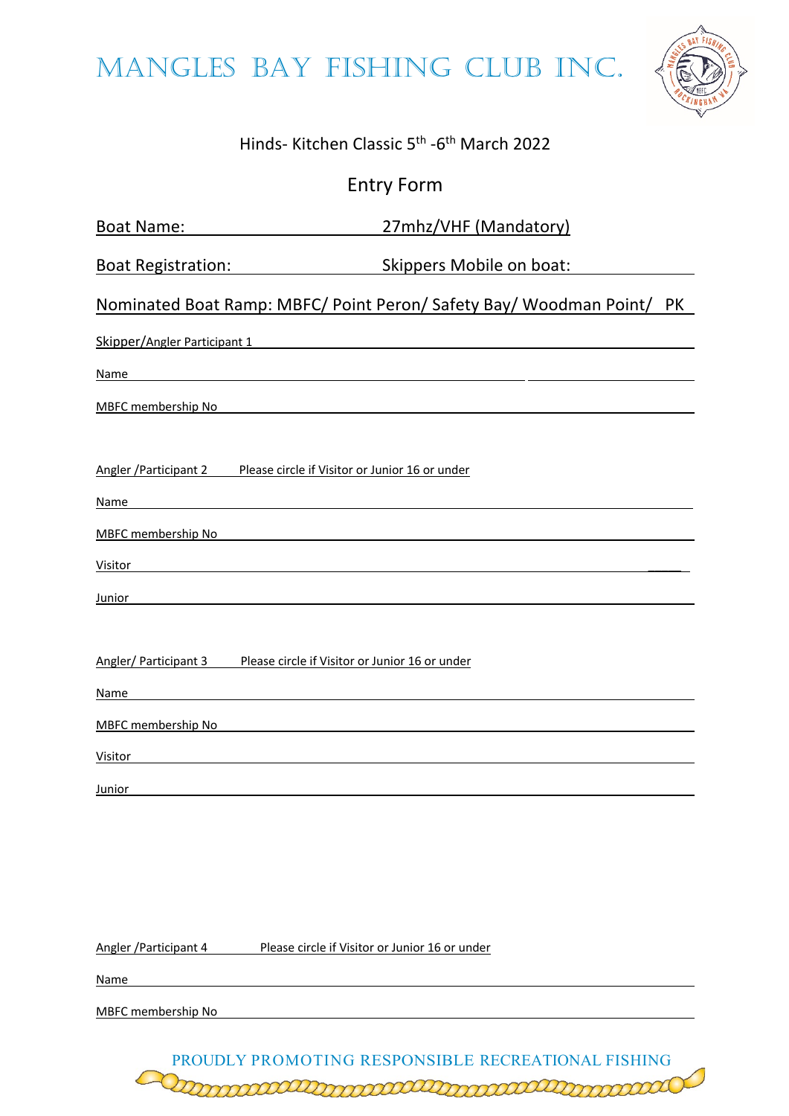MANGLES BAY FISHING CLUB INC.



## Hinds- Kitchen Classic 5th -6th March 2022

## Entry Form

| <b>Boat Name:</b>             | 27mhz/VHF (Mandatory)                                                 |  |
|-------------------------------|-----------------------------------------------------------------------|--|
| <b>Boat Registration:</b>     | Skippers Mobile on boat:                                              |  |
|                               | Nominated Boat Ramp: MBFC/ Point Peron/ Safety Bay/ Woodman Point/ PK |  |
| Skipper/Angler Participant 1  |                                                                       |  |
| <b>Name</b>                   |                                                                       |  |
| <b>MBFC</b> membership No     |                                                                       |  |
| Angler / Participant 2        | Please circle if Visitor or Junior 16 or under                        |  |
| Name                          |                                                                       |  |
| <b>MBFC</b> membership No     |                                                                       |  |
| Visitor                       |                                                                       |  |
| Junior                        |                                                                       |  |
| Angler/ Participant 3<br>Name | Please circle if Visitor or Junior 16 or under                        |  |
|                               |                                                                       |  |
| MBFC membership No            |                                                                       |  |
| Visitor                       |                                                                       |  |
| <b>Junior</b>                 |                                                                       |  |

Angler / Participant 4 Please circle if Visitor or Junior 16 or under

Name and the contract of the contract of the contract of the contract of the contract of the contract of the contract of the contract of the contract of the contract of the contract of the contract of the contract of the c

MBFC membership No